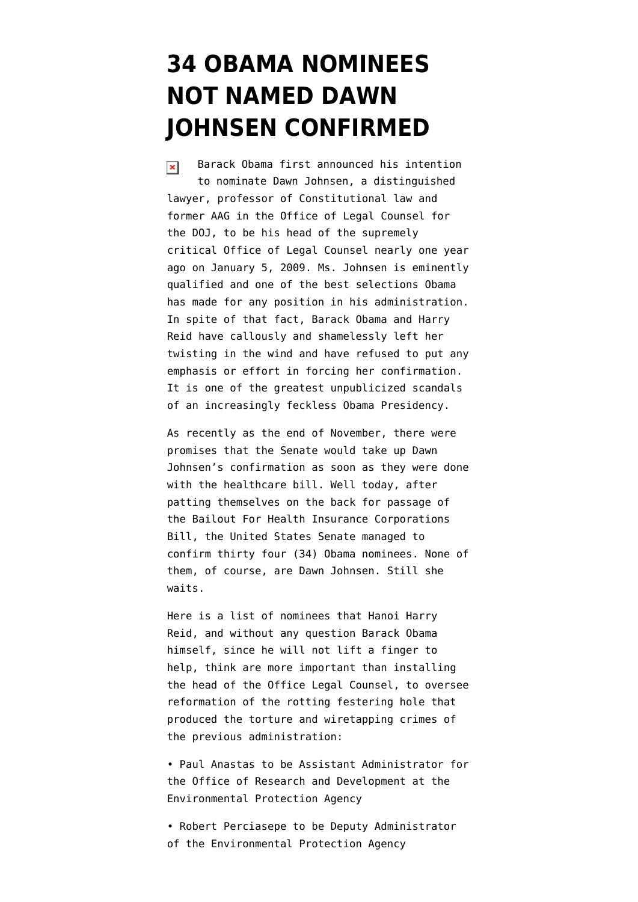## **[34 OBAMA NOMINEES](https://www.emptywheel.net/2009/12/24/34-obama-nominees-not-named-dawn-johnsen-confirmed/) [NOT NAMED DAWN](https://www.emptywheel.net/2009/12/24/34-obama-nominees-not-named-dawn-johnsen-confirmed/) [JOHNSEN CONFIRMED](https://www.emptywheel.net/2009/12/24/34-obama-nominees-not-named-dawn-johnsen-confirmed/)**

Barack Obama first announced his intention  $\pmb{\times}$ to nominate Dawn Johnsen, a distinguished lawyer, professor of Constitutional law and former AAG in the Office of Legal Counsel for the DOJ, to be his head of the supremely critical Office of Legal Counsel [nearly one year](http://www.nytimes.com/2009/01/06/us/politics/06justice.html) [ago on January 5, 2009](http://www.nytimes.com/2009/01/06/us/politics/06justice.html). Ms. Johnsen is eminently qualified and one of the best selections Obama has made for any position in his administration. In spite of that fact, Barack Obama and Harry Reid have callously and shamelessly left her twisting in the wind and have refused to put any emphasis or effort in forcing her confirmation. It is one of the greatest unpublicized scandals of an increasingly feckless Obama Presidency.

As recently as the end of November, [there were](http://firedoglake.com/2009/11/24/light-at-the-end-of-the-tunnel-for-dawn-johnsens-olc-confirmation/) [promises](http://firedoglake.com/2009/11/24/light-at-the-end-of-the-tunnel-for-dawn-johnsens-olc-confirmation/) that the Senate would take up Dawn Johnsen's confirmation as soon as they were done with the healthcare bill. Well today, after patting themselves on the back for passage of the [Bailout For Health Insurance Corporations](http://fdlaction.firedoglake.com/2009/12/24/a-big-win-for-phrma-health-insurance-companies-obama-reid-nelson-lincoln-lieberman-a-big-loss-for-the-american-people-and-the-progressive-movement/) [Bill](http://fdlaction.firedoglake.com/2009/12/24/a-big-win-for-phrma-health-insurance-companies-obama-reid-nelson-lincoln-lieberman-a-big-loss-for-the-american-people-and-the-progressive-movement/), the United States Senate managed to confirm thirty four (34) Obama nominees. None of them, of course, are Dawn Johnsen. [Still she](http://firedoglake.com/2009/12/05/and-still-she-waits/) [waits](http://firedoglake.com/2009/12/05/and-still-she-waits/).

Here is a [list of nominees](http://senatus.wordpress.com/2009/12/24/nominations-confirmed-december-24/) that Hanoi Harry Reid, and without any question Barack Obama himself, since he will not lift a finger to help, think are more important than installing the head of the Office Legal Counsel, to oversee reformation of the rotting festering hole that produced the torture and wiretapping crimes of the previous administration:

• Paul Anastas to be Assistant Administrator for the Office of Research and Development at the Environmental Protection Agency

• Robert Perciasepe to be Deputy Administrator of the Environmental Protection Agency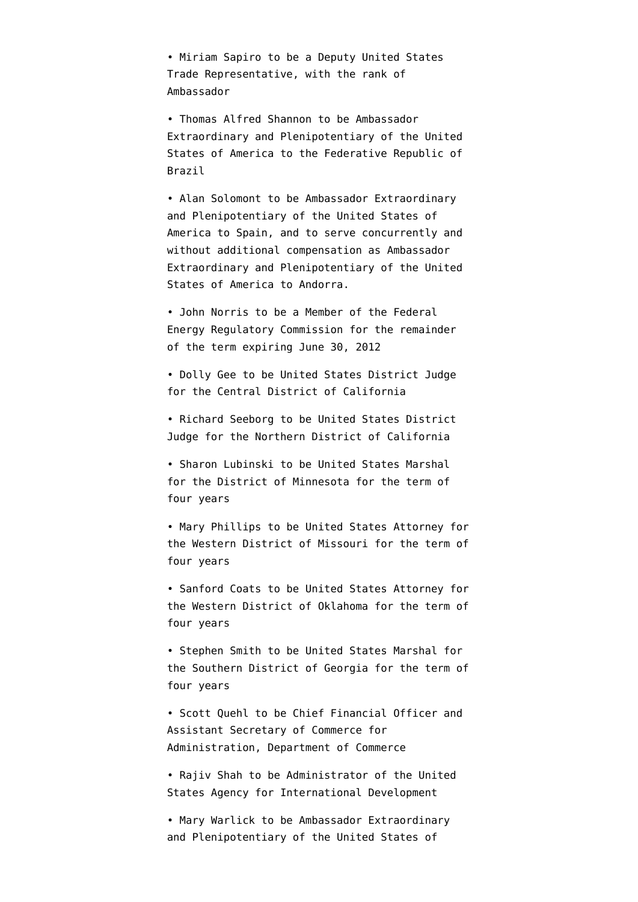• Miriam Sapiro to be a Deputy United States Trade Representative, with the rank of Ambassador

• Thomas Alfred Shannon to be Ambassador Extraordinary and Plenipotentiary of the United States of America to the Federative Republic of Brazil

• Alan Solomont to be Ambassador Extraordinary and Plenipotentiary of the United States of America to Spain, and to serve concurrently and without additional compensation as Ambassador Extraordinary and Plenipotentiary of the United States of America to Andorra.

• John Norris to be a Member of the Federal Energy Regulatory Commission for the remainder of the term expiring June 30, 2012

• Dolly Gee to be United States District Judge for the Central District of California

• Richard Seeborg to be United States District Judge for the Northern District of California

• Sharon Lubinski to be United States Marshal for the District of Minnesota for the term of four years

• Mary Phillips to be United States Attorney for the Western District of Missouri for the term of four years

• Sanford Coats to be United States Attorney for the Western District of Oklahoma for the term of four years

• Stephen Smith to be United States Marshal for the Southern District of Georgia for the term of four years

• Scott Quehl to be Chief Financial Officer and Assistant Secretary of Commerce for Administration, Department of Commerce

• Rajiv Shah to be Administrator of the United States Agency for International Development

• Mary Warlick to be Ambassador Extraordinary and Plenipotentiary of the United States of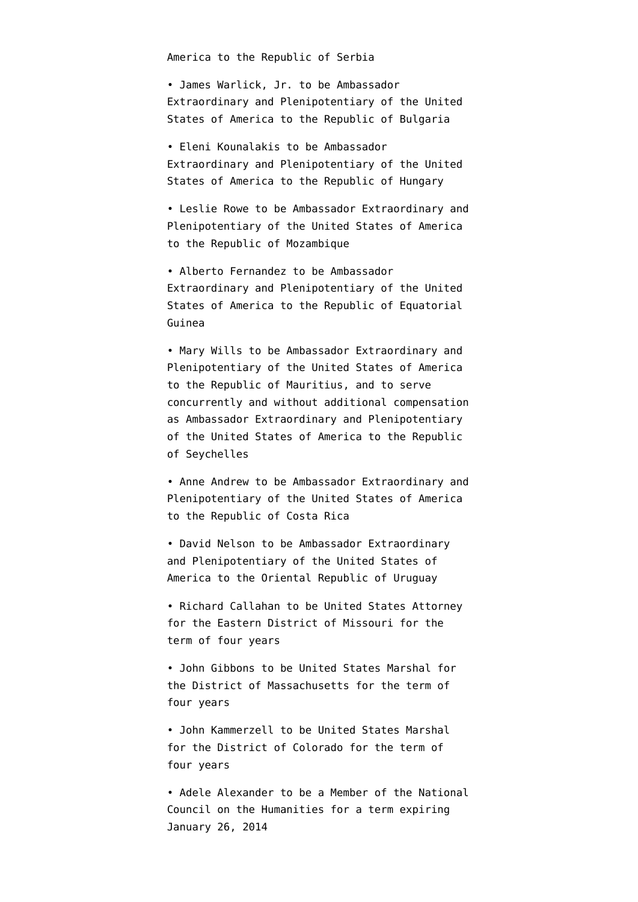America to the Republic of Serbia

• James Warlick, Jr. to be Ambassador Extraordinary and Plenipotentiary of the United States of America to the Republic of Bulgaria

• Eleni Kounalakis to be Ambassador Extraordinary and Plenipotentiary of the United States of America to the Republic of Hungary

• Leslie Rowe to be Ambassador Extraordinary and Plenipotentiary of the United States of America to the Republic of Mozambique

• Alberto Fernandez to be Ambassador Extraordinary and Plenipotentiary of the United States of America to the Republic of Equatorial Guinea

• Mary Wills to be Ambassador Extraordinary and Plenipotentiary of the United States of America to the Republic of Mauritius, and to serve concurrently and without additional compensation as Ambassador Extraordinary and Plenipotentiary of the United States of America to the Republic of Seychelles

• Anne Andrew to be Ambassador Extraordinary and Plenipotentiary of the United States of America to the Republic of Costa Rica

• David Nelson to be Ambassador Extraordinary and Plenipotentiary of the United States of America to the Oriental Republic of Uruguay

• Richard Callahan to be United States Attorney for the Eastern District of Missouri for the term of four years

• John Gibbons to be United States Marshal for the District of Massachusetts for the term of four years

• John Kammerzell to be United States Marshal for the District of Colorado for the term of four years

• Adele Alexander to be a Member of the National Council on the Humanities for a term expiring January 26, 2014